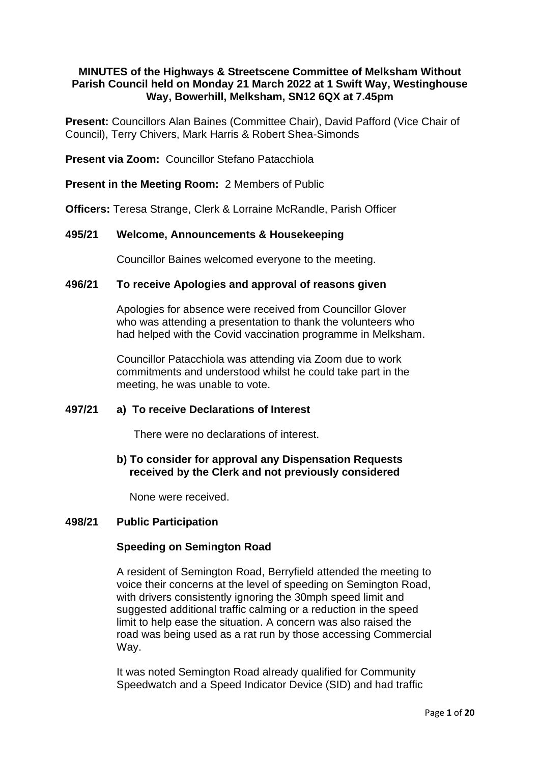## **MINUTES of the Highways & Streetscene Committee of Melksham Without Parish Council held on Monday 21 March 2022 at 1 Swift Way, Westinghouse Way, Bowerhill, Melksham, SN12 6QX at 7.45pm**

**Present:** Councillors Alan Baines (Committee Chair), David Pafford (Vice Chair of Council), Terry Chivers, Mark Harris & Robert Shea-Simonds

**Present via Zoom:** Councillor Stefano Patacchiola

**Present in the Meeting Room:** 2 Members of Public

**Officers:** Teresa Strange, Clerk & Lorraine McRandle, Parish Officer

## **495/21 Welcome, Announcements & Housekeeping**

Councillor Baines welcomed everyone to the meeting.

### **496/21 To receive Apologies and approval of reasons given**

Apologies for absence were received from Councillor Glover who was attending a presentation to thank the volunteers who had helped with the Covid vaccination programme in Melksham.

Councillor Patacchiola was attending via Zoom due to work commitments and understood whilst he could take part in the meeting, he was unable to vote.

# **497/21 a) To receive Declarations of Interest**

There were no declarations of interest.

# **b) To consider for approval any Dispensation Requests received by the Clerk and not previously considered**

None were received.

### **498/21 Public Participation**

### **Speeding on Semington Road**

A resident of Semington Road, Berryfield attended the meeting to voice their concerns at the level of speeding on Semington Road, with drivers consistently ignoring the 30mph speed limit and suggested additional traffic calming or a reduction in the speed limit to help ease the situation. A concern was also raised the road was being used as a rat run by those accessing Commercial Way.

It was noted Semington Road already qualified for Community Speedwatch and a Speed Indicator Device (SID) and had traffic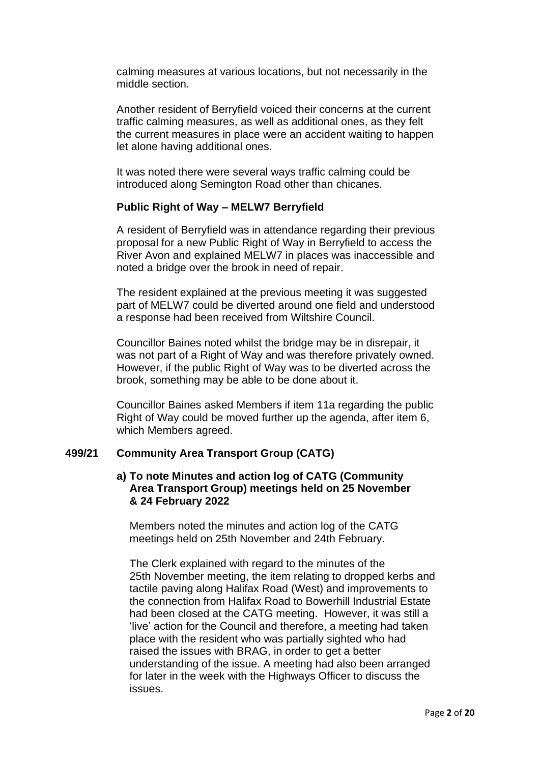calming measures at various locations, but not necessarily in the middle section.

Another resident of Berryfield voiced their concerns at the current traffic calming measures, as well as additional ones, as they felt the current measures in place were an accident waiting to happen let alone having additional ones.

It was noted there were several ways traffic calming could be introduced along Semington Road other than chicanes.

## **Public Right of Way – MELW7 Berryfield**

A resident of Berryfield was in attendance regarding their previous proposal for a new Public Right of Way in Berryfield to access the River Avon and explained MELW7 in places was inaccessible and noted a bridge over the brook in need of repair.

The resident explained at the previous meeting it was suggested part of MELW7 could be diverted around one field and understood a response had been received from Wiltshire Council.

Councillor Baines noted whilst the bridge may be in disrepair, it was not part of a Right of Way and was therefore privately owned. However, if the public Right of Way was to be diverted across the brook, something may be able to be done about it.

Councillor Baines asked Members if item 11a regarding the public Right of Way could be moved further up the agenda, after item 6, which Members agreed.

### **499/21 Community Area Transport Group (CATG)**

## **a) To note Minutes and action log of CATG (Community Area Transport Group) meetings held on 25 November & 24 February 2022**

Members noted the minutes and action log of the CATG meetings held on 25th November and 24th February.

The Clerk explained with regard to the minutes of the 25th November meeting, the item relating to dropped kerbs and tactile paving along Halifax Road (West) and improvements to the connection from Halifax Road to Bowerhill Industrial Estate had been closed at the CATG meeting. However, it was still a 'live' action for the Council and therefore, a meeting had taken place with the resident who was partially sighted who had raised the issues with BRAG, in order to get a better understanding of the issue. A meeting had also been arranged for later in the week with the Highways Officer to discuss the issues.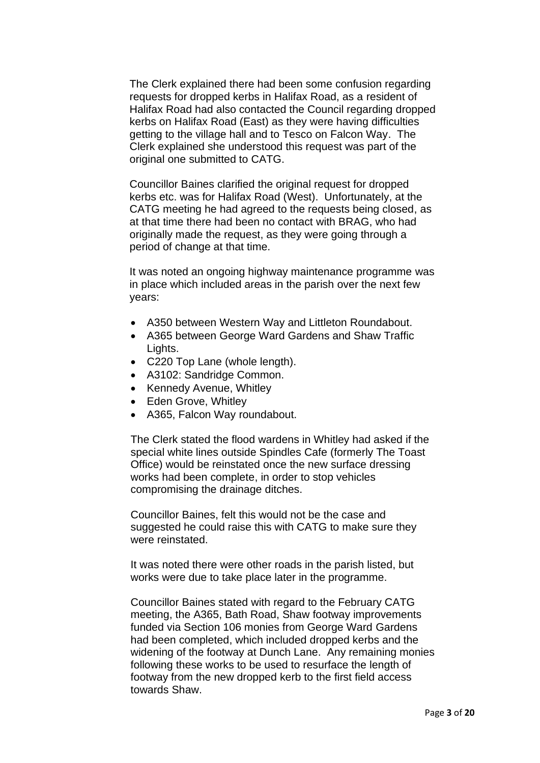The Clerk explained there had been some confusion regarding requests for dropped kerbs in Halifax Road, as a resident of Halifax Road had also contacted the Council regarding dropped kerbs on Halifax Road (East) as they were having difficulties getting to the village hall and to Tesco on Falcon Way. The Clerk explained she understood this request was part of the original one submitted to CATG.

Councillor Baines clarified the original request for dropped kerbs etc. was for Halifax Road (West). Unfortunately, at the CATG meeting he had agreed to the requests being closed, as at that time there had been no contact with BRAG, who had originally made the request, as they were going through a period of change at that time.

It was noted an ongoing highway maintenance programme was in place which included areas in the parish over the next few years:

- A350 between Western Way and Littleton Roundabout.
- A365 between George Ward Gardens and Shaw Traffic Lights.
- C220 Top Lane (whole length).
- A3102: Sandridge Common.
- Kennedy Avenue, Whitley
- Eden Grove, Whitley
- A365, Falcon Way roundabout.

The Clerk stated the flood wardens in Whitley had asked if the special white lines outside Spindles Cafe (formerly The Toast Office) would be reinstated once the new surface dressing works had been complete, in order to stop vehicles compromising the drainage ditches.

Councillor Baines, felt this would not be the case and suggested he could raise this with CATG to make sure they were reinstated.

It was noted there were other roads in the parish listed, but works were due to take place later in the programme.

Councillor Baines stated with regard to the February CATG meeting, the A365, Bath Road, Shaw footway improvements funded via Section 106 monies from George Ward Gardens had been completed, which included dropped kerbs and the widening of the footway at Dunch Lane. Any remaining monies following these works to be used to resurface the length of footway from the new dropped kerb to the first field access towards Shaw.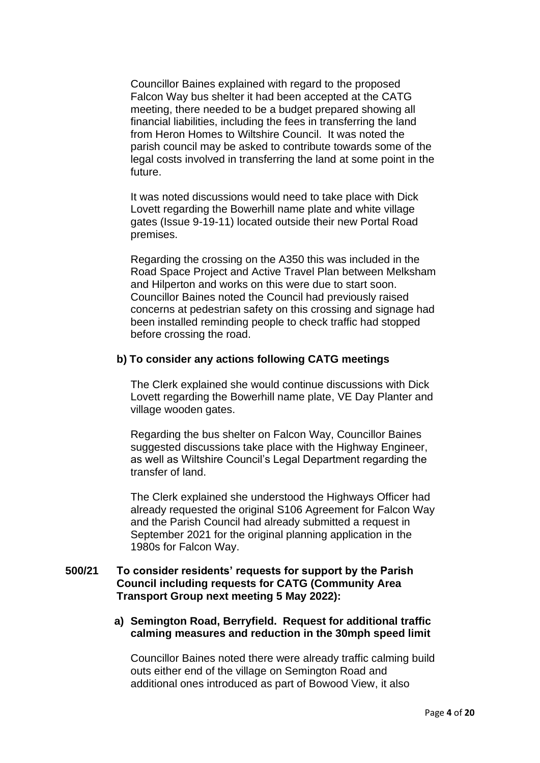Councillor Baines explained with regard to the proposed Falcon Way bus shelter it had been accepted at the CATG meeting, there needed to be a budget prepared showing all financial liabilities, including the fees in transferring the land from Heron Homes to Wiltshire Council. It was noted the parish council may be asked to contribute towards some of the legal costs involved in transferring the land at some point in the future.

It was noted discussions would need to take place with Dick Lovett regarding the Bowerhill name plate and white village gates (Issue 9-19-11) located outside their new Portal Road premises.

Regarding the crossing on the A350 this was included in the Road Space Project and Active Travel Plan between Melksham and Hilperton and works on this were due to start soon. Councillor Baines noted the Council had previously raised concerns at pedestrian safety on this crossing and signage had been installed reminding people to check traffic had stopped before crossing the road.

### **b) To consider any actions following CATG meetings**

The Clerk explained she would continue discussions with Dick Lovett regarding the Bowerhill name plate, VE Day Planter and village wooden gates.

Regarding the bus shelter on Falcon Way, Councillor Baines suggested discussions take place with the Highway Engineer. as well as Wiltshire Council's Legal Department regarding the transfer of land.

The Clerk explained she understood the Highways Officer had already requested the original S106 Agreement for Falcon Way and the Parish Council had already submitted a request in September 2021 for the original planning application in the 1980s for Falcon Way.

## **500/21 To consider residents' requests for support by the Parish Council including requests for CATG (Community Area Transport Group next meeting 5 May 2022):**

**a) Semington Road, Berryfield. Request for additional traffic calming measures and reduction in the 30mph speed limit**

Councillor Baines noted there were already traffic calming build outs either end of the village on Semington Road and additional ones introduced as part of Bowood View, it also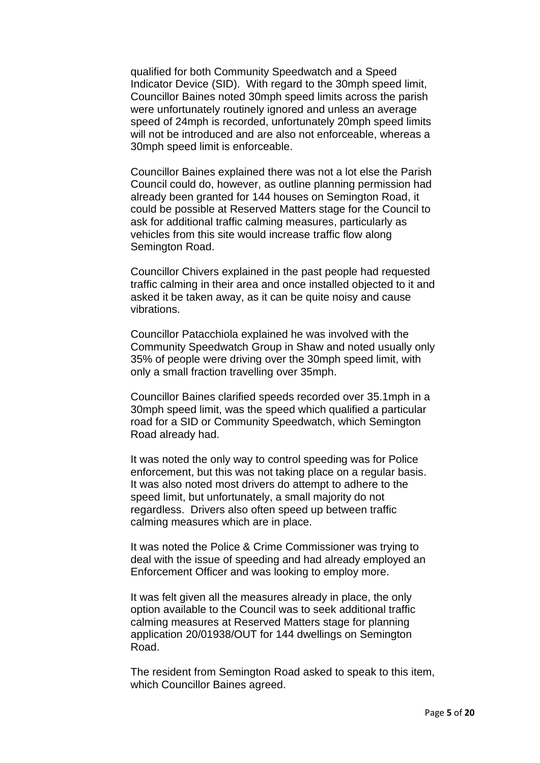qualified for both Community Speedwatch and a Speed Indicator Device (SID). With regard to the 30mph speed limit, Councillor Baines noted 30mph speed limits across the parish were unfortunately routinely ignored and unless an average speed of 24mph is recorded, unfortunately 20mph speed limits will not be introduced and are also not enforceable, whereas a 30mph speed limit is enforceable.

Councillor Baines explained there was not a lot else the Parish Council could do, however, as outline planning permission had already been granted for 144 houses on Semington Road, it could be possible at Reserved Matters stage for the Council to ask for additional traffic calming measures, particularly as vehicles from this site would increase traffic flow along Semington Road.

Councillor Chivers explained in the past people had requested traffic calming in their area and once installed objected to it and asked it be taken away, as it can be quite noisy and cause vibrations.

Councillor Patacchiola explained he was involved with the Community Speedwatch Group in Shaw and noted usually only 35% of people were driving over the 30mph speed limit, with only a small fraction travelling over 35mph.

Councillor Baines clarified speeds recorded over 35.1mph in a 30mph speed limit, was the speed which qualified a particular road for a SID or Community Speedwatch, which Semington Road already had.

It was noted the only way to control speeding was for Police enforcement, but this was not taking place on a regular basis. It was also noted most drivers do attempt to adhere to the speed limit, but unfortunately, a small majority do not regardless. Drivers also often speed up between traffic calming measures which are in place.

It was noted the Police & Crime Commissioner was trying to deal with the issue of speeding and had already employed an Enforcement Officer and was looking to employ more.

It was felt given all the measures already in place, the only option available to the Council was to seek additional traffic calming measures at Reserved Matters stage for planning application 20/01938/OUT for 144 dwellings on Semington Road.

The resident from Semington Road asked to speak to this item, which Councillor Baines agreed.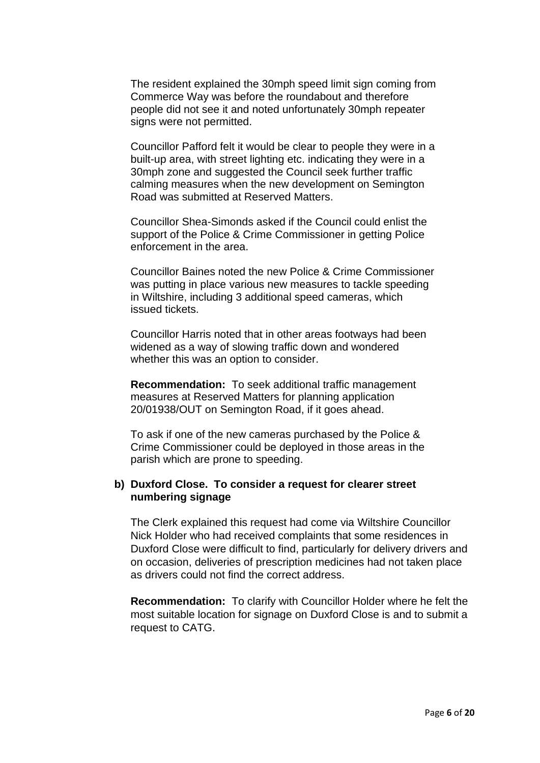The resident explained the 30mph speed limit sign coming from Commerce Way was before the roundabout and therefore people did not see it and noted unfortunately 30mph repeater signs were not permitted.

Councillor Pafford felt it would be clear to people they were in a built-up area, with street lighting etc. indicating they were in a 30mph zone and suggested the Council seek further traffic calming measures when the new development on Semington Road was submitted at Reserved Matters.

Councillor Shea-Simonds asked if the Council could enlist the support of the Police & Crime Commissioner in getting Police enforcement in the area.

Councillor Baines noted the new Police & Crime Commissioner was putting in place various new measures to tackle speeding in Wiltshire, including 3 additional speed cameras, which issued tickets.

Councillor Harris noted that in other areas footways had been widened as a way of slowing traffic down and wondered whether this was an option to consider.

**Recommendation:** To seek additional traffic management measures at Reserved Matters for planning application 20/01938/OUT on Semington Road, if it goes ahead.

To ask if one of the new cameras purchased by the Police & Crime Commissioner could be deployed in those areas in the parish which are prone to speeding.

### **b) Duxford Close. To consider a request for clearer street numbering signage**

The Clerk explained this request had come via Wiltshire Councillor Nick Holder who had received complaints that some residences in Duxford Close were difficult to find, particularly for delivery drivers and on occasion, deliveries of prescription medicines had not taken place as drivers could not find the correct address.

**Recommendation:** To clarify with Councillor Holder where he felt the most suitable location for signage on Duxford Close is and to submit a request to CATG.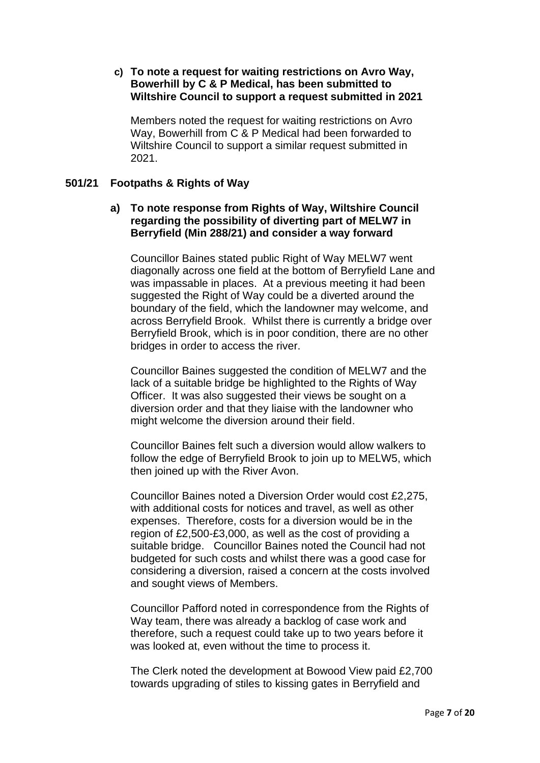## **c) To note a request for waiting restrictions on Avro Way, Bowerhill by C & P Medical, has been submitted to Wiltshire Council to support a request submitted in 2021**

Members noted the request for waiting restrictions on Avro Way, Bowerhill from C & P Medical had been forwarded to Wiltshire Council to support a similar request submitted in 2021.

## **501/21 Footpaths & Rights of Way**

## **a) To note response from Rights of Way, Wiltshire Council regarding the possibility of diverting part of MELW7 in Berryfield (Min 288/21) and consider a way forward**

Councillor Baines stated public Right of Way MELW7 went diagonally across one field at the bottom of Berryfield Lane and was impassable in places. At a previous meeting it had been suggested the Right of Way could be a diverted around the boundary of the field, which the landowner may welcome, and across Berryfield Brook. Whilst there is currently a bridge over Berryfield Brook, which is in poor condition, there are no other bridges in order to access the river.

Councillor Baines suggested the condition of MELW7 and the lack of a suitable bridge be highlighted to the Rights of Way Officer. It was also suggested their views be sought on a diversion order and that they liaise with the landowner who might welcome the diversion around their field.

Councillor Baines felt such a diversion would allow walkers to follow the edge of Berryfield Brook to join up to MELW5, which then joined up with the River Avon.

Councillor Baines noted a Diversion Order would cost £2,275, with additional costs for notices and travel, as well as other expenses. Therefore, costs for a diversion would be in the region of £2,500-£3,000, as well as the cost of providing a suitable bridge. Councillor Baines noted the Council had not budgeted for such costs and whilst there was a good case for considering a diversion, raised a concern at the costs involved and sought views of Members.

Councillor Pafford noted in correspondence from the Rights of Way team, there was already a backlog of case work and therefore, such a request could take up to two years before it was looked at, even without the time to process it.

The Clerk noted the development at Bowood View paid £2,700 towards upgrading of stiles to kissing gates in Berryfield and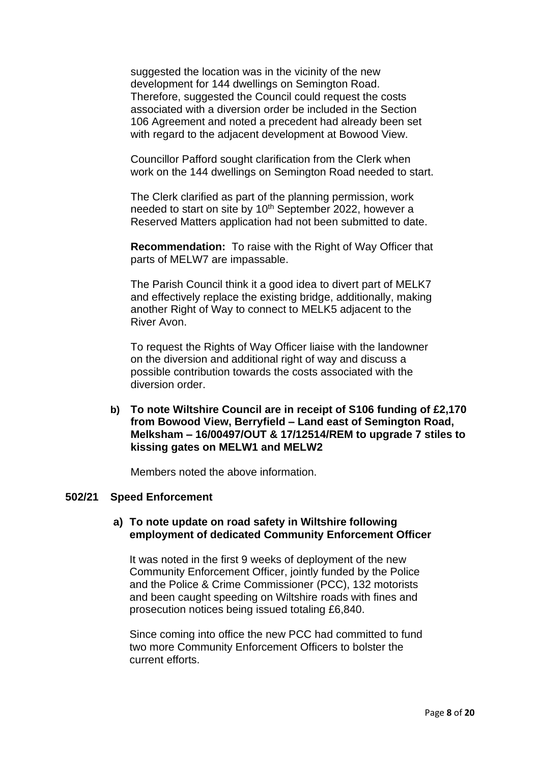suggested the location was in the vicinity of the new development for 144 dwellings on Semington Road. Therefore, suggested the Council could request the costs associated with a diversion order be included in the Section 106 Agreement and noted a precedent had already been set with regard to the adjacent development at Bowood View.

Councillor Pafford sought clarification from the Clerk when work on the 144 dwellings on Semington Road needed to start.

The Clerk clarified as part of the planning permission, work needed to start on site by 10<sup>th</sup> September 2022, however a Reserved Matters application had not been submitted to date.

**Recommendation:** To raise with the Right of Way Officer that parts of MELW7 are impassable.

The Parish Council think it a good idea to divert part of MELK7 and effectively replace the existing bridge, additionally, making another Right of Way to connect to MELK5 adjacent to the River Avon.

To request the Rights of Way Officer liaise with the landowner on the diversion and additional right of way and discuss a possible contribution towards the costs associated with the diversion order.

**b) To note Wiltshire Council are in receipt of S106 funding of £2,170 from Bowood View, Berryfield – Land east of Semington Road, Melksham – 16/00497/OUT & 17/12514/REM to upgrade 7 stiles to kissing gates on MELW1 and MELW2**

Members noted the above information.

#### **502/21 Speed Enforcement**

### **a) To note update on road safety in Wiltshire following employment of dedicated Community Enforcement Officer**

It was noted in the first 9 weeks of deployment of the new Community Enforcement Officer, jointly funded by the Police and the Police & Crime Commissioner (PCC), 132 motorists and been caught speeding on Wiltshire roads with fines and prosecution notices being issued totaling £6,840.

Since coming into office the new PCC had committed to fund two more Community Enforcement Officers to bolster the current efforts.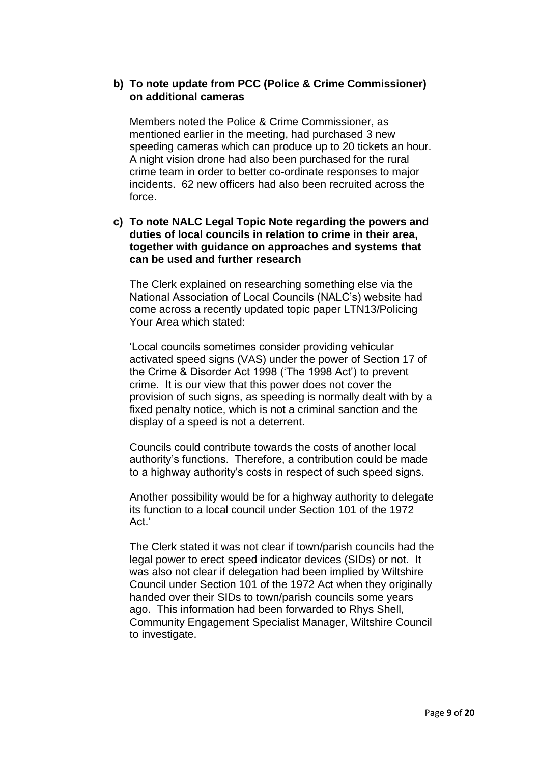## **b) To note update from PCC (Police & Crime Commissioner) on additional cameras**

Members noted the Police & Crime Commissioner, as mentioned earlier in the meeting, had purchased 3 new speeding cameras which can produce up to 20 tickets an hour. A night vision drone had also been purchased for the rural crime team in order to better co-ordinate responses to major incidents. 62 new officers had also been recruited across the force.

# **c) To note NALC Legal Topic Note regarding the powers and duties of local councils in relation to crime in their area, together with guidance on approaches and systems that can be used and further research**

The Clerk explained on researching something else via the National Association of Local Councils (NALC's) website had come across a recently updated topic paper LTN13/Policing Your Area which stated:

'Local councils sometimes consider providing vehicular activated speed signs (VAS) under the power of Section 17 of the Crime & Disorder Act 1998 ('The 1998 Act') to prevent crime. It is our view that this power does not cover the provision of such signs, as speeding is normally dealt with by a fixed penalty notice, which is not a criminal sanction and the display of a speed is not a deterrent.

Councils could contribute towards the costs of another local authority's functions. Therefore, a contribution could be made to a highway authority's costs in respect of such speed signs.

Another possibility would be for a highway authority to delegate its function to a local council under Section 101 of the 1972 Act.'

The Clerk stated it was not clear if town/parish councils had the legal power to erect speed indicator devices (SIDs) or not. It was also not clear if delegation had been implied by Wiltshire Council under Section 101 of the 1972 Act when they originally handed over their SIDs to town/parish councils some years ago. This information had been forwarded to Rhys Shell, Community Engagement Specialist Manager, Wiltshire Council to investigate.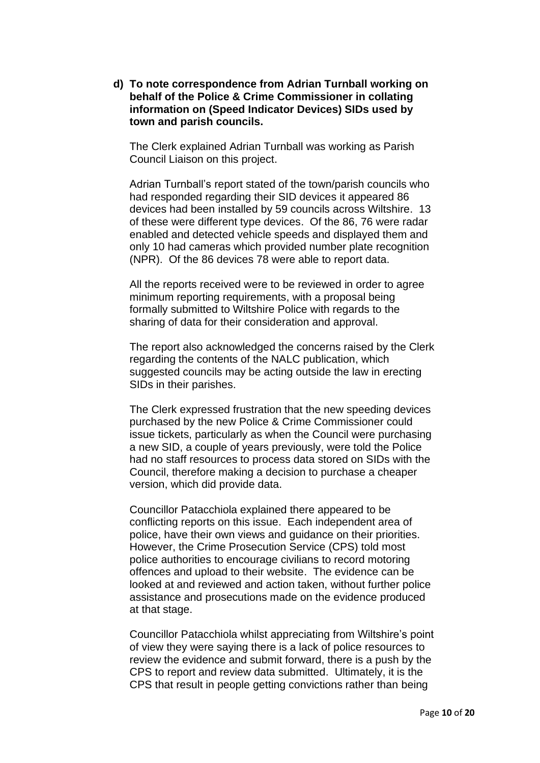**d) To note correspondence from Adrian Turnball working on behalf of the Police & Crime Commissioner in collating information on (Speed Indicator Devices) SIDs used by town and parish councils.**

The Clerk explained Adrian Turnball was working as Parish Council Liaison on this project.

Adrian Turnball's report stated of the town/parish councils who had responded regarding their SID devices it appeared 86 devices had been installed by 59 councils across Wiltshire. 13 of these were different type devices. Of the 86, 76 were radar enabled and detected vehicle speeds and displayed them and only 10 had cameras which provided number plate recognition (NPR). Of the 86 devices 78 were able to report data.

All the reports received were to be reviewed in order to agree minimum reporting requirements, with a proposal being formally submitted to Wiltshire Police with regards to the sharing of data for their consideration and approval.

The report also acknowledged the concerns raised by the Clerk regarding the contents of the NALC publication, which suggested councils may be acting outside the law in erecting SIDs in their parishes.

The Clerk expressed frustration that the new speeding devices purchased by the new Police & Crime Commissioner could issue tickets, particularly as when the Council were purchasing a new SID, a couple of years previously, were told the Police had no staff resources to process data stored on SIDs with the Council, therefore making a decision to purchase a cheaper version, which did provide data.

Councillor Patacchiola explained there appeared to be conflicting reports on this issue. Each independent area of police, have their own views and guidance on their priorities. However, the Crime Prosecution Service (CPS) told most police authorities to encourage civilians to record motoring offences and upload to their website. The evidence can be looked at and reviewed and action taken, without further police assistance and prosecutions made on the evidence produced at that stage.

Councillor Patacchiola whilst appreciating from Wiltshire's point of view they were saying there is a lack of police resources to review the evidence and submit forward, there is a push by the CPS to report and review data submitted. Ultimately, it is the CPS that result in people getting convictions rather than being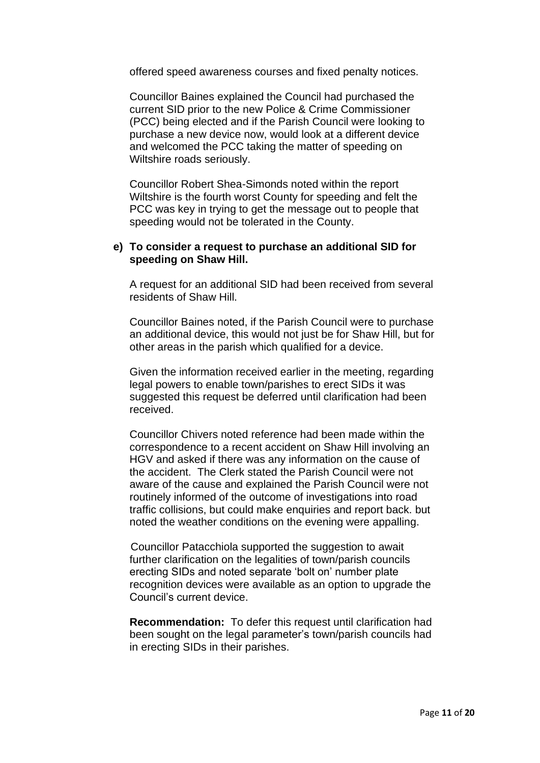offered speed awareness courses and fixed penalty notices.

Councillor Baines explained the Council had purchased the current SID prior to the new Police & Crime Commissioner (PCC) being elected and if the Parish Council were looking to purchase a new device now, would look at a different device and welcomed the PCC taking the matter of speeding on Wiltshire roads seriously.

Councillor Robert Shea-Simonds noted within the report Wiltshire is the fourth worst County for speeding and felt the PCC was key in trying to get the message out to people that speeding would not be tolerated in the County.

### **e) To consider a request to purchase an additional SID for speeding on Shaw Hill.**

A request for an additional SID had been received from several residents of Shaw Hill.

Councillor Baines noted, if the Parish Council were to purchase an additional device, this would not just be for Shaw Hill, but for other areas in the parish which qualified for a device.

Given the information received earlier in the meeting, regarding legal powers to enable town/parishes to erect SIDs it was suggested this request be deferred until clarification had been received.

Councillor Chivers noted reference had been made within the correspondence to a recent accident on Shaw Hill involving an HGV and asked if there was any information on the cause of the accident. The Clerk stated the Parish Council were not aware of the cause and explained the Parish Council were not routinely informed of the outcome of investigations into road traffic collisions, but could make enquiries and report back. but noted the weather conditions on the evening were appalling.

Councillor Patacchiola supported the suggestion to await further clarification on the legalities of town/parish councils erecting SIDs and noted separate 'bolt on' number plate recognition devices were available as an option to upgrade the Council's current device.

**Recommendation:** To defer this request until clarification had been sought on the legal parameter's town/parish councils had in erecting SIDs in their parishes.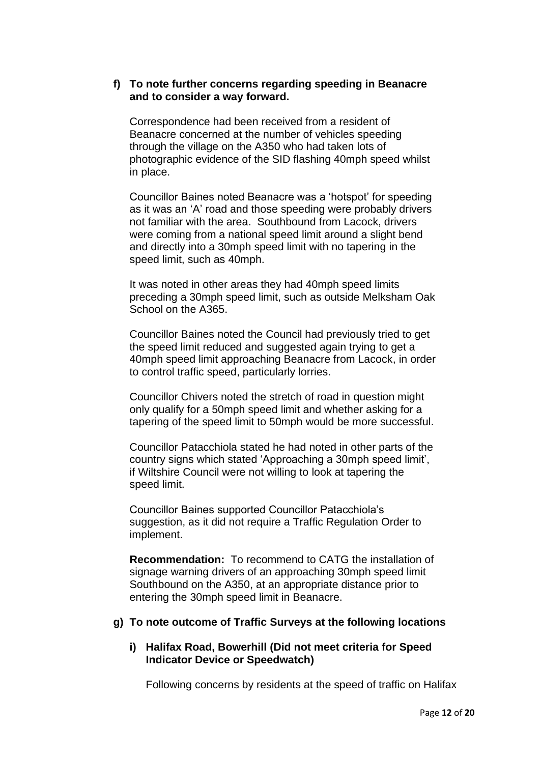### **f) To note further concerns regarding speeding in Beanacre and to consider a way forward.**

Correspondence had been received from a resident of Beanacre concerned at the number of vehicles speeding through the village on the A350 who had taken lots of photographic evidence of the SID flashing 40mph speed whilst in place.

Councillor Baines noted Beanacre was a 'hotspot' for speeding as it was an 'A' road and those speeding were probably drivers not familiar with the area. Southbound from Lacock, drivers were coming from a national speed limit around a slight bend and directly into a 30mph speed limit with no tapering in the speed limit, such as 40mph.

It was noted in other areas they had 40mph speed limits preceding a 30mph speed limit, such as outside Melksham Oak School on the A365.

Councillor Baines noted the Council had previously tried to get the speed limit reduced and suggested again trying to get a 40mph speed limit approaching Beanacre from Lacock, in order to control traffic speed, particularly lorries.

Councillor Chivers noted the stretch of road in question might only qualify for a 50mph speed limit and whether asking for a tapering of the speed limit to 50mph would be more successful.

Councillor Patacchiola stated he had noted in other parts of the country signs which stated 'Approaching a 30mph speed limit', if Wiltshire Council were not willing to look at tapering the speed limit.

Councillor Baines supported Councillor Patacchiola's suggestion, as it did not require a Traffic Regulation Order to implement.

**Recommendation:** To recommend to CATG the installation of signage warning drivers of an approaching 30mph speed limit Southbound on the A350, at an appropriate distance prior to entering the 30mph speed limit in Beanacre.

# **g) To note outcome of Traffic Surveys at the following locations**

## **i) Halifax Road, Bowerhill (Did not meet criteria for Speed Indicator Device or Speedwatch)**

Following concerns by residents at the speed of traffic on Halifax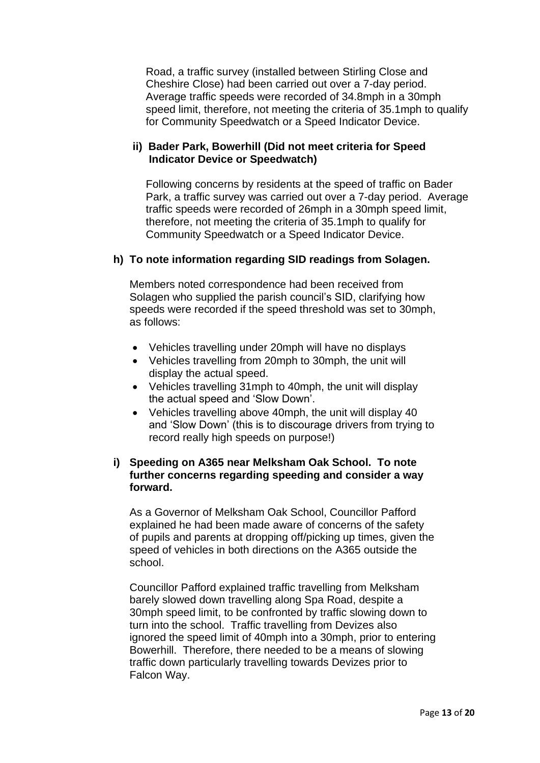Road, a traffic survey (installed between Stirling Close and Cheshire Close) had been carried out over a 7-day period. Average traffic speeds were recorded of 34.8mph in a 30mph speed limit, therefore, not meeting the criteria of 35.1mph to qualify for Community Speedwatch or a Speed Indicator Device.

# **ii) Bader Park, Bowerhill (Did not meet criteria for Speed Indicator Device or Speedwatch)**

Following concerns by residents at the speed of traffic on Bader Park, a traffic survey was carried out over a 7-day period. Average traffic speeds were recorded of 26mph in a 30mph speed limit, therefore, not meeting the criteria of 35.1mph to qualify for Community Speedwatch or a Speed Indicator Device.

## **h) To note information regarding SID readings from Solagen.**

Members noted correspondence had been received from Solagen who supplied the parish council's SID, clarifying how speeds were recorded if the speed threshold was set to 30mph, as follows:

- Vehicles travelling under 20mph will have no displays
- Vehicles travelling from 20mph to 30mph, the unit will display the actual speed.
- Vehicles travelling 31mph to 40mph, the unit will display the actual speed and 'Slow Down'.
- Vehicles travelling above 40mph, the unit will display 40 and 'Slow Down' (this is to discourage drivers from trying to record really high speeds on purpose!)

# **i) Speeding on A365 near Melksham Oak School. To note further concerns regarding speeding and consider a way forward.**

As a Governor of Melksham Oak School, Councillor Pafford explained he had been made aware of concerns of the safety of pupils and parents at dropping off/picking up times, given the speed of vehicles in both directions on the A365 outside the school.

Councillor Pafford explained traffic travelling from Melksham barely slowed down travelling along Spa Road, despite a 30mph speed limit, to be confronted by traffic slowing down to turn into the school. Traffic travelling from Devizes also ignored the speed limit of 40mph into a 30mph, prior to entering Bowerhill. Therefore, there needed to be a means of slowing traffic down particularly travelling towards Devizes prior to Falcon Way.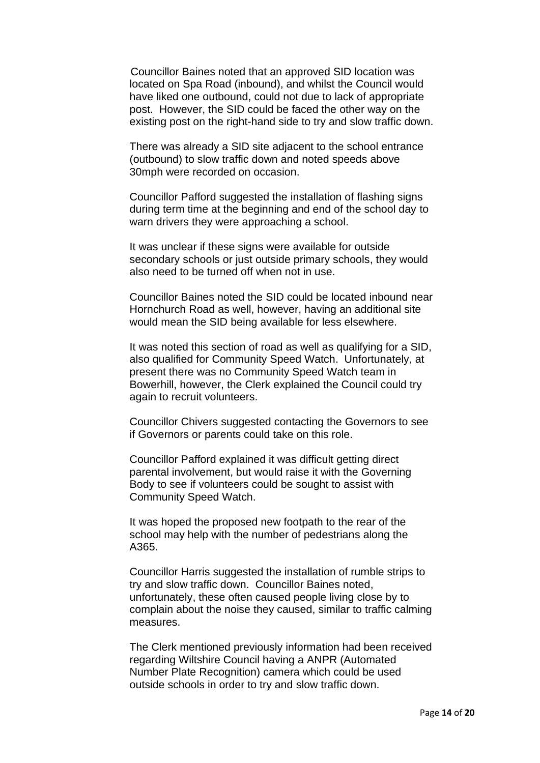Councillor Baines noted that an approved SID location was located on Spa Road (inbound), and whilst the Council would have liked one outbound, could not due to lack of appropriate post. However, the SID could be faced the other way on the existing post on the right-hand side to try and slow traffic down.

There was already a SID site adjacent to the school entrance (outbound) to slow traffic down and noted speeds above 30mph were recorded on occasion.

Councillor Pafford suggested the installation of flashing signs during term time at the beginning and end of the school day to warn drivers they were approaching a school.

It was unclear if these signs were available for outside secondary schools or just outside primary schools, they would also need to be turned off when not in use.

Councillor Baines noted the SID could be located inbound near Hornchurch Road as well, however, having an additional site would mean the SID being available for less elsewhere.

It was noted this section of road as well as qualifying for a SID, also qualified for Community Speed Watch. Unfortunately, at present there was no Community Speed Watch team in Bowerhill, however, the Clerk explained the Council could try again to recruit volunteers.

Councillor Chivers suggested contacting the Governors to see if Governors or parents could take on this role.

Councillor Pafford explained it was difficult getting direct parental involvement, but would raise it with the Governing Body to see if volunteers could be sought to assist with Community Speed Watch.

It was hoped the proposed new footpath to the rear of the school may help with the number of pedestrians along the A365.

Councillor Harris suggested the installation of rumble strips to try and slow traffic down. Councillor Baines noted, unfortunately, these often caused people living close by to complain about the noise they caused, similar to traffic calming measures.

The Clerk mentioned previously information had been received regarding Wiltshire Council having a ANPR (Automated Number Plate Recognition) camera which could be used outside schools in order to try and slow traffic down.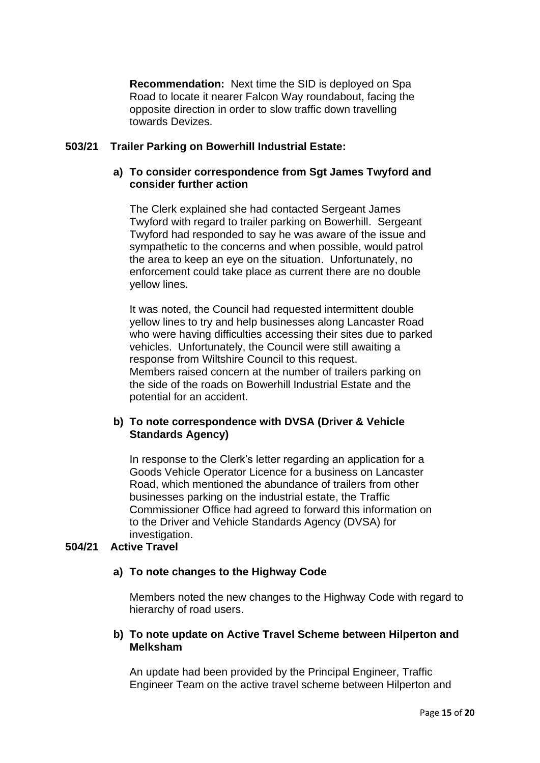**Recommendation:** Next time the SID is deployed on Spa Road to locate it nearer Falcon Way roundabout, facing the opposite direction in order to slow traffic down travelling towards Devizes.

# **503/21 Trailer Parking on Bowerhill Industrial Estate:**

# **a) To consider correspondence from Sgt James Twyford and consider further action**

The Clerk explained she had contacted Sergeant James Twyford with regard to trailer parking on Bowerhill. Sergeant Twyford had responded to say he was aware of the issue and sympathetic to the concerns and when possible, would patrol the area to keep an eye on the situation. Unfortunately, no enforcement could take place as current there are no double yellow lines.

It was noted, the Council had requested intermittent double yellow lines to try and help businesses along Lancaster Road who were having difficulties accessing their sites due to parked vehicles. Unfortunately, the Council were still awaiting a response from Wiltshire Council to this request. Members raised concern at the number of trailers parking on the side of the roads on Bowerhill Industrial Estate and the potential for an accident.

# **b) To note correspondence with DVSA (Driver & Vehicle Standards Agency)**

In response to the Clerk's letter regarding an application for a Goods Vehicle Operator Licence for a business on Lancaster Road, which mentioned the abundance of trailers from other businesses parking on the industrial estate, the Traffic Commissioner Office had agreed to forward this information on to the Driver and Vehicle Standards Agency (DVSA) for investigation.

# **504/21 Active Travel**

# **a) To note changes to the Highway Code**

Members noted the new changes to the Highway Code with regard to hierarchy of road users.

## **b) To note update on Active Travel Scheme between Hilperton and Melksham**

An update had been provided by the Principal Engineer, Traffic Engineer Team on the active travel scheme between Hilperton and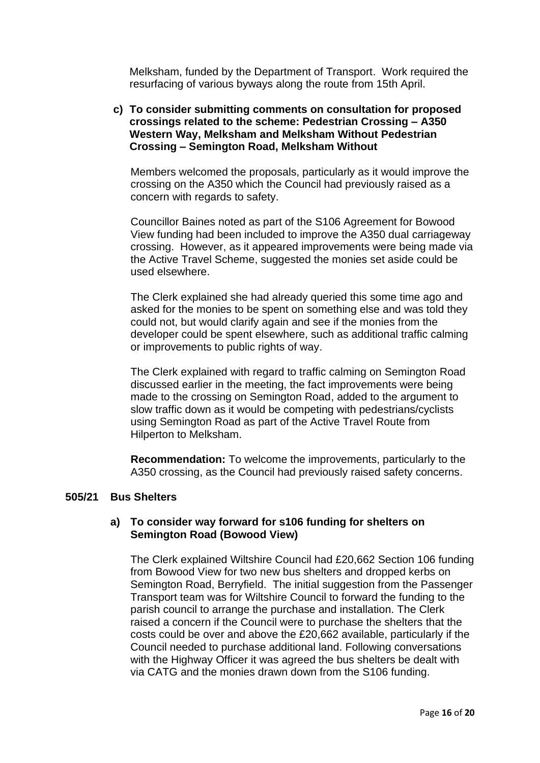Melksham, funded by the Department of Transport. Work required the resurfacing of various byways along the route from 15th April.

# **c) To consider submitting comments on consultation for proposed crossings related to the scheme: Pedestrian Crossing – A350 Western Way, Melksham and Melksham Without Pedestrian Crossing – Semington Road, Melksham Without**

Members welcomed the proposals, particularly as it would improve the crossing on the A350 which the Council had previously raised as a concern with regards to safety.

Councillor Baines noted as part of the S106 Agreement for Bowood View funding had been included to improve the A350 dual carriageway crossing. However, as it appeared improvements were being made via the Active Travel Scheme, suggested the monies set aside could be used elsewhere.

The Clerk explained she had already queried this some time ago and asked for the monies to be spent on something else and was told they could not, but would clarify again and see if the monies from the developer could be spent elsewhere, such as additional traffic calming or improvements to public rights of way.

The Clerk explained with regard to traffic calming on Semington Road discussed earlier in the meeting, the fact improvements were being made to the crossing on Semington Road, added to the argument to slow traffic down as it would be competing with pedestrians/cyclists using Semington Road as part of the Active Travel Route from Hilperton to Melksham.

**Recommendation:** To welcome the improvements, particularly to the A350 crossing, as the Council had previously raised safety concerns.

### **505/21 Bus Shelters**

## **a) To consider way forward for s106 funding for shelters on Semington Road (Bowood View)**

The Clerk explained Wiltshire Council had £20,662 Section 106 funding from Bowood View for two new bus shelters and dropped kerbs on Semington Road, Berryfield. The initial suggestion from the Passenger Transport team was for Wiltshire Council to forward the funding to the parish council to arrange the purchase and installation. The Clerk raised a concern if the Council were to purchase the shelters that the costs could be over and above the £20,662 available, particularly if the Council needed to purchase additional land. Following conversations with the Highway Officer it was agreed the bus shelters be dealt with via CATG and the monies drawn down from the S106 funding.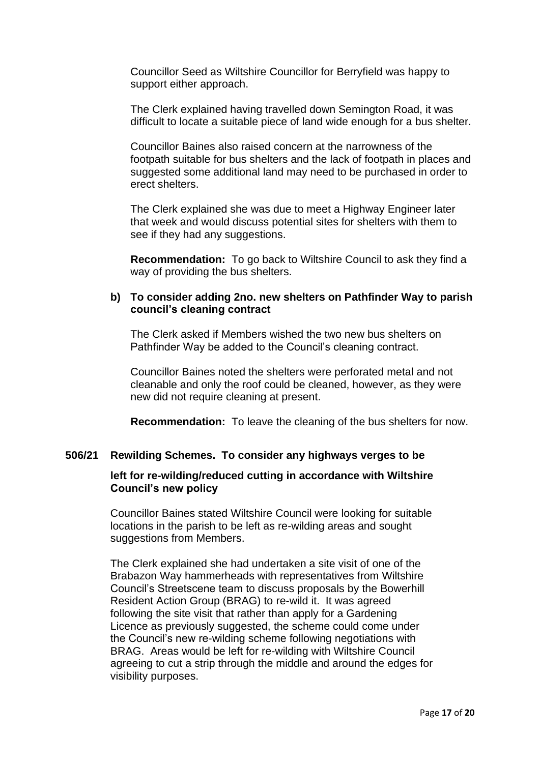Councillor Seed as Wiltshire Councillor for Berryfield was happy to support either approach.

The Clerk explained having travelled down Semington Road, it was difficult to locate a suitable piece of land wide enough for a bus shelter.

Councillor Baines also raised concern at the narrowness of the footpath suitable for bus shelters and the lack of footpath in places and suggested some additional land may need to be purchased in order to erect shelters.

The Clerk explained she was due to meet a Highway Engineer later that week and would discuss potential sites for shelters with them to see if they had any suggestions.

**Recommendation:** To go back to Wiltshire Council to ask they find a way of providing the bus shelters.

## **b) To consider adding 2no. new shelters on Pathfinder Way to parish council's cleaning contract**

The Clerk asked if Members wished the two new bus shelters on Pathfinder Way be added to the Council's cleaning contract.

Councillor Baines noted the shelters were perforated metal and not cleanable and only the roof could be cleaned, however, as they were new did not require cleaning at present.

**Recommendation:** To leave the cleaning of the bus shelters for now.

### **506/21 Rewilding Schemes. To consider any highways verges to be**

### **left for re-wilding/reduced cutting in accordance with Wiltshire Council's new policy**

Councillor Baines stated Wiltshire Council were looking for suitable locations in the parish to be left as re-wilding areas and sought suggestions from Members.

The Clerk explained she had undertaken a site visit of one of the Brabazon Way hammerheads with representatives from Wiltshire Council's Streetscene team to discuss proposals by the Bowerhill Resident Action Group (BRAG) to re-wild it. It was agreed following the site visit that rather than apply for a Gardening Licence as previously suggested, the scheme could come under the Council's new re-wilding scheme following negotiations with BRAG. Areas would be left for re-wilding with Wiltshire Council agreeing to cut a strip through the middle and around the edges for visibility purposes.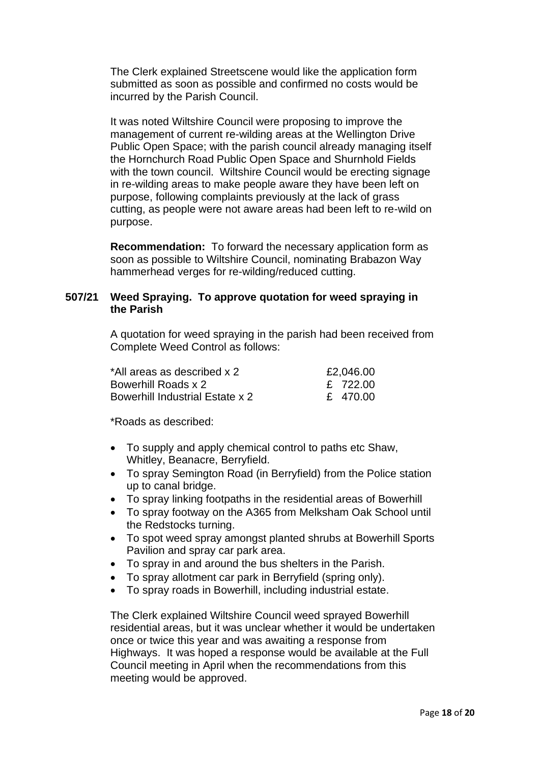The Clerk explained Streetscene would like the application form submitted as soon as possible and confirmed no costs would be incurred by the Parish Council.

It was noted Wiltshire Council were proposing to improve the management of current re-wilding areas at the Wellington Drive Public Open Space; with the parish council already managing itself the Hornchurch Road Public Open Space and Shurnhold Fields with the town council. Wiltshire Council would be erecting signage in re-wilding areas to make people aware they have been left on purpose, following complaints previously at the lack of grass cutting, as people were not aware areas had been left to re-wild on purpose.

**Recommendation:** To forward the necessary application form as soon as possible to Wiltshire Council, nominating Brabazon Way hammerhead verges for re-wilding/reduced cutting.

## **507/21 Weed Spraying. To approve quotation for weed spraying in the Parish**

A quotation for weed spraying in the parish had been received from Complete Weed Control as follows:

| *All areas as described x 2            | £2,046.00 |
|----------------------------------------|-----------|
| Bowerhill Roads x 2                    | £ 722.00  |
| <b>Bowerhill Industrial Estate x 2</b> | £ 470.00  |

\*Roads as described:

- To supply and apply chemical control to paths etc Shaw, Whitley, Beanacre, Berryfield.
- To spray Semington Road (in Berryfield) from the Police station up to canal bridge.
- To spray linking footpaths in the residential areas of Bowerhill
- To spray footway on the A365 from Melksham Oak School until the Redstocks turning.
- To spot weed spray amongst planted shrubs at Bowerhill Sports Pavilion and spray car park area.
- To spray in and around the bus shelters in the Parish.
- To spray allotment car park in Berryfield (spring only).
- To spray roads in Bowerhill, including industrial estate.

The Clerk explained Wiltshire Council weed sprayed Bowerhill residential areas, but it was unclear whether it would be undertaken once or twice this year and was awaiting a response from Highways. It was hoped a response would be available at the Full Council meeting in April when the recommendations from this meeting would be approved.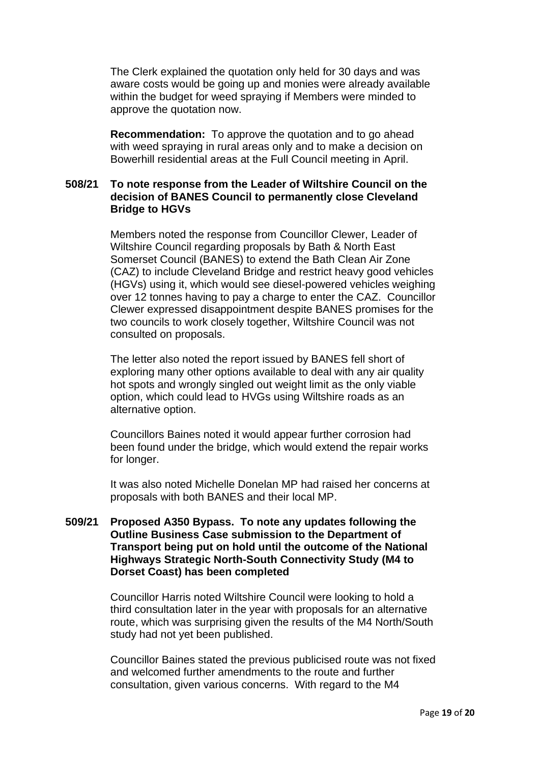The Clerk explained the quotation only held for 30 days and was aware costs would be going up and monies were already available within the budget for weed spraying if Members were minded to approve the quotation now.

**Recommendation:** To approve the quotation and to go ahead with weed spraying in rural areas only and to make a decision on Bowerhill residential areas at the Full Council meeting in April.

## **508/21 To note response from the Leader of Wiltshire Council on the decision of BANES Council to permanently close Cleveland Bridge to HGVs**

Members noted the response from Councillor Clewer, Leader of Wiltshire Council regarding proposals by Bath & North East Somerset Council (BANES) to extend the Bath Clean Air Zone (CAZ) to include Cleveland Bridge and restrict heavy good vehicles (HGVs) using it, which would see diesel-powered vehicles weighing over 12 tonnes having to pay a charge to enter the CAZ. Councillor Clewer expressed disappointment despite BANES promises for the two councils to work closely together, Wiltshire Council was not consulted on proposals.

The letter also noted the report issued by BANES fell short of exploring many other options available to deal with any air quality hot spots and wrongly singled out weight limit as the only viable option, which could lead to HVGs using Wiltshire roads as an alternative option.

Councillors Baines noted it would appear further corrosion had been found under the bridge, which would extend the repair works for longer.

It was also noted Michelle Donelan MP had raised her concerns at proposals with both BANES and their local MP.

## **509/21 Proposed A350 Bypass. To note any updates following the Outline Business Case submission to the Department of Transport being put on hold until the outcome of the National Highways Strategic North-South Connectivity Study (M4 to Dorset Coast) has been completed**

Councillor Harris noted Wiltshire Council were looking to hold a third consultation later in the year with proposals for an alternative route, which was surprising given the results of the M4 North/South study had not yet been published.

Councillor Baines stated the previous publicised route was not fixed and welcomed further amendments to the route and further consultation, given various concerns. With regard to the M4